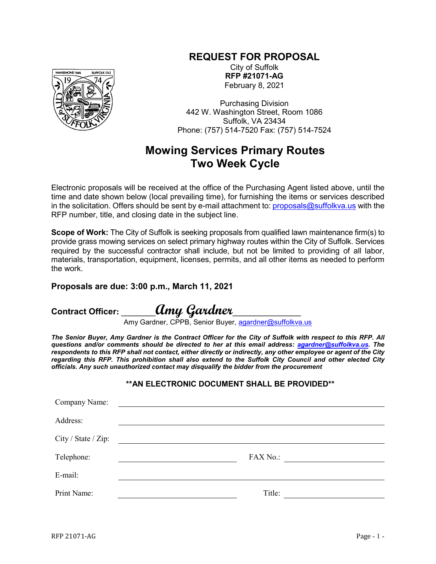## **REQUEST FOR PROPOSAL**



City of Suffolk **RFP #21071-AG** February 8, 2021

Purchasing Division 442 W. Washington Street, Room 1086 Suffolk, VA 23434 Phone: (757) 514-7520 Fax: (757) 514-7524

## **Mowing Services Primary Routes Two Week Cycle**

Electronic proposals will be received at the office of the Purchasing Agent listed above, until the time and date shown below (local prevailing time), for furnishing the items or services described in the solicitation. Offers should be sent by e-mail attachment to: [proposals@suffolkva.us](mailto:proposals@suffolkva.us) with the RFP number, title, and closing date in the subject line.

**Scope of Work:** The City of Suffolk is seeking proposals from qualified lawn maintenance firm(s) to provide grass mowing services on select primary highway routes within the City of Suffolk. Services required by the successful contractor shall include, but not be limited to providing of all labor, materials, transportation, equipment, licenses, permits, and all other items as needed to perform the work.

## **Proposals are due: 3:00 p.m., March 11, 2021**

**Contract Officer: \_\_\_\_\_\_\_\_Amy Gardner\_\_\_\_\_\_\_\_\_\_\_\_\_\_\_\_**

Amy Gardner, CPPB, Senior Buyer, <u>agardner@suffolkva.us</u>

*The Senior Buyer, Amy Gardner is the Contract Officer for the City of Suffolk with respect to this RFP. All questions and/or comments should be directed to her at this email address: [agardner@suffolkva.us.](mailto:agardner@suffolkva.us) The respondents to this RFP shall not contact, either directly or indirectly, any other employee or agent of the City regarding this RFP. This prohibition shall also extend to the Suffolk City Council and other elected City officials. Any such unauthorized contact may disqualify the bidder from the procurement*

## **\*\*AN ELECTRONIC DOCUMENT SHALL BE PROVIDED\*\***

| Company Name:       | <u> Alexandria de la contrada de la contrada de la contrada de la contrada de la contrada de la contrada de la c</u> |
|---------------------|----------------------------------------------------------------------------------------------------------------------|
| Address:            |                                                                                                                      |
| City / State / Zip: | <u> 1989 - Andrea State Barbara, política e a contra de la contra de la contra de la contra de la contra de la c</u> |
| Telephone:          | FAX No.:<br><u> 1989 - John Stein, Amerikaansk politiker (</u> † 1920)                                               |
| E-mail:             |                                                                                                                      |
| Print Name:         | Title:                                                                                                               |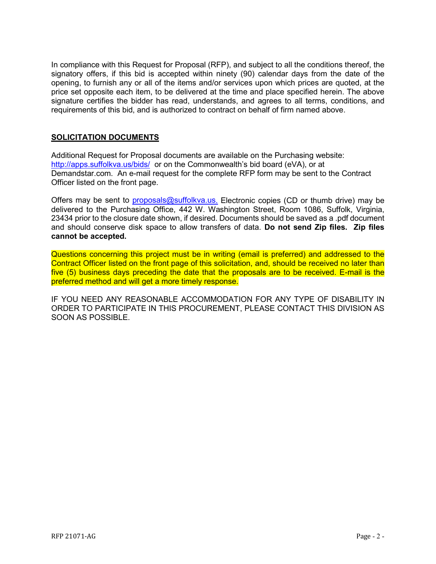In compliance with this Request for Proposal (RFP), and subject to all the conditions thereof, the signatory offers, if this bid is accepted within ninety (90) calendar days from the date of the opening, to furnish any or all of the items and/or services upon which prices are quoted, at the price set opposite each item, to be delivered at the time and place specified herein. The above signature certifies the bidder has read, understands, and agrees to all terms, conditions, and requirements of this bid, and is authorized to contract on behalf of firm named above.

## **SOLICITATION DOCUMENTS**

Additional Request for Proposal documents are available on the Purchasing website: <http://apps.suffolkva.us/bids/> or on the Commonwealth's bid board (eVA), or at Demandstar.com. An e-mail request for the complete RFP form may be sent to the Contract Officer listed on the front page.

Offers may be sent to [proposals@suffolkva.us.](mailto:proposals@suffolkva.us) Electronic copies (CD or thumb drive) may be delivered to the Purchasing Office, 442 W. Washington Street, Room 1086, Suffolk, Virginia, 23434 prior to the closure date shown, if desired. Documents should be saved as a .pdf document and should conserve disk space to allow transfers of data. **Do not send Zip files. Zip files cannot be accepted.**

Questions concerning this project must be in writing (email is preferred) and addressed to the Contract Officer listed on the front page of this solicitation, and, should be received no later than five (5) business days preceding the date that the proposals are to be received. E-mail is the preferred method and will get a more timely response.

IF YOU NEED ANY REASONABLE ACCOMMODATION FOR ANY TYPE OF DISABILITY IN ORDER TO PARTICIPATE IN THIS PROCUREMENT, PLEASE CONTACT THIS DIVISION AS SOON AS POSSIBLE.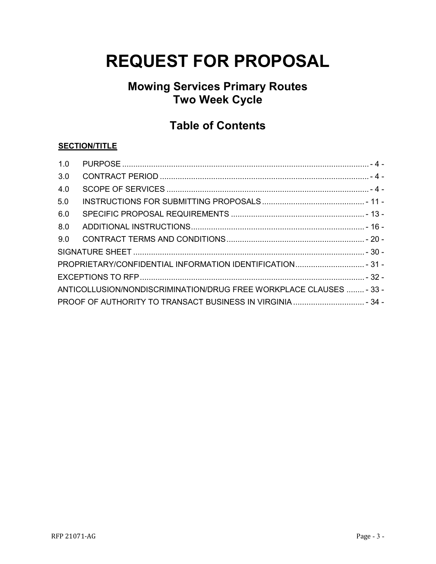# **REQUEST FOR PROPOSAL**

## **Mowing Services Primary Routes Two Week Cycle**

## **Table of Contents**

## **SECTION/TITLE**

| 1.0 |                                                                     |  |
|-----|---------------------------------------------------------------------|--|
| 3.0 |                                                                     |  |
| 4.0 |                                                                     |  |
| 5.0 |                                                                     |  |
| 6.0 |                                                                     |  |
| 8.0 |                                                                     |  |
| 9.0 |                                                                     |  |
|     |                                                                     |  |
|     | PROPRIETARY/CONFIDENTIAL INFORMATION IDENTIFICATION 31 -            |  |
|     |                                                                     |  |
|     | ANTICOLLUSION/NONDISCRIMINATION/DRUG FREE WORKPLACE CLAUSES  - 33 - |  |
|     |                                                                     |  |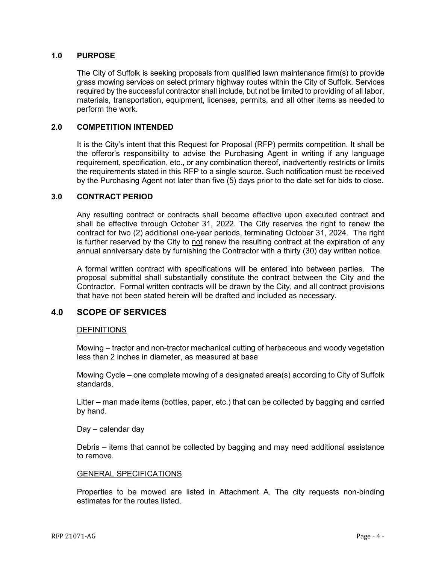## <span id="page-3-0"></span>**1.0 PURPOSE**

The City of Suffolk is seeking proposals from qualified lawn maintenance firm(s) to provide grass mowing services on select primary highway routes within the City of Suffolk. Services required by the successful contractor shall include, but not be limited to providing of all labor, materials, transportation, equipment, licenses, permits, and all other items as needed to perform the work.

## **2.0 COMPETITION INTENDED**

It is the City's intent that this Request for Proposal (RFP) permits competition. It shall be the offeror's responsibility to advise the Purchasing Agent in writing if any language requirement, specification, etc., or any combination thereof, inadvertently restricts or limits the requirements stated in this RFP to a single source. Such notification must be received by the Purchasing Agent not later than five (5) days prior to the date set for bids to close.

## <span id="page-3-1"></span>**3.0 CONTRACT PERIOD**

Any resulting contract or contracts shall become effective upon executed contract and shall be effective through October 31, 2022. The City reserves the right to renew the contract for two (2) additional one-year periods, terminating October 31, 2024. The right is further reserved by the City to not renew the resulting contract at the expiration of any annual anniversary date by furnishing the Contractor with a thirty (30) day written notice.

A formal written contract with specifications will be entered into between parties. The proposal submittal shall substantially constitute the contract between the City and the Contractor. Formal written contracts will be drawn by the City, and all contract provisions that have not been stated herein will be drafted and included as necessary.

## <span id="page-3-2"></span>**4.0 SCOPE OF SERVICES**

## **DEFINITIONS**

Mowing – tractor and non-tractor mechanical cutting of herbaceous and woody vegetation less than 2 inches in diameter, as measured at base

Mowing Cycle – one complete mowing of a designated area(s) according to City of Suffolk standards.

Litter – man made items (bottles, paper, etc.) that can be collected by bagging and carried by hand.

#### Day – calendar day

Debris – items that cannot be collected by bagging and may need additional assistance to remove.

#### GENERAL SPECIFICATIONS

Properties to be mowed are listed in Attachment A. The city requests non-binding estimates for the routes listed.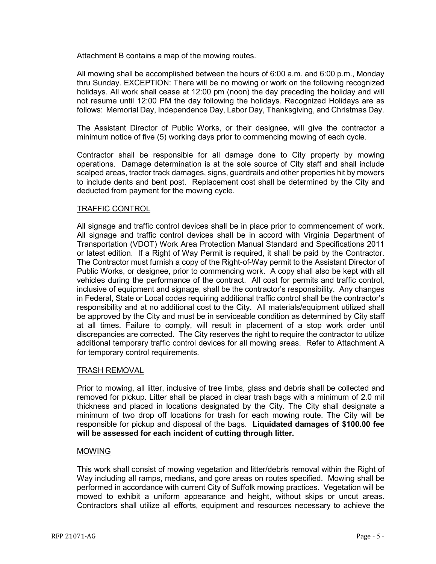Attachment B contains a map of the mowing routes.

All mowing shall be accomplished between the hours of 6:00 a.m. and 6:00 p.m., Monday thru Sunday. EXCEPTION: There will be no mowing or work on the following recognized holidays. All work shall cease at 12:00 pm (noon) the day preceding the holiday and will not resume until 12:00 PM the day following the holidays. Recognized Holidays are as follows: Memorial Day, Independence Day, Labor Day, Thanksgiving, and Christmas Day.

The Assistant Director of Public Works, or their designee, will give the contractor a minimum notice of five (5) working days prior to commencing mowing of each cycle.

Contractor shall be responsible for all damage done to City property by mowing operations. Damage determination is at the sole source of City staff and shall include scalped areas, tractor track damages, signs, guardrails and other properties hit by mowers to include dents and bent post. Replacement cost shall be determined by the City and deducted from payment for the mowing cycle.

## TRAFFIC CONTROL

All signage and traffic control devices shall be in place prior to commencement of work. All signage and traffic control devices shall be in accord with Virginia Department of Transportation (VDOT) Work Area Protection Manual Standard and Specifications 2011 or latest edition. If a Right of Way Permit is required, it shall be paid by the Contractor. The Contractor must furnish a copy of the Right-of-Way permit to the Assistant Director of Public Works, or designee, prior to commencing work. A copy shall also be kept with all vehicles during the performance of the contract. All cost for permits and traffic control, inclusive of equipment and signage, shall be the contractor's responsibility. Any changes in Federal, State or Local codes requiring additional traffic control shall be the contractor's responsibility and at no additional cost to the City. All materials/equipment utilized shall be approved by the City and must be in serviceable condition as determined by City staff at all times. Failure to comply, will result in placement of a stop work order until discrepancies are corrected. The City reserves the right to require the contractor to utilize additional temporary traffic control devices for all mowing areas. Refer to Attachment A for temporary control requirements.

## TRASH REMOVAL

Prior to mowing, all litter, inclusive of tree limbs, glass and debris shall be collected and removed for pickup. Litter shall be placed in clear trash bags with a minimum of 2.0 mil thickness and placed in locations designated by the City. The City shall designate a minimum of two drop off locations for trash for each mowing route. The City will be responsible for pickup and disposal of the bags. **Liquidated damages of \$100.00 fee will be assessed for each incident of cutting through litter.**

## MOWING

This work shall consist of mowing vegetation and litter/debris removal within the Right of Way including all ramps, medians, and gore areas on routes specified. Mowing shall be performed in accordance with current City of Suffolk mowing practices. Vegetation will be mowed to exhibit a uniform appearance and height, without skips or uncut areas. Contractors shall utilize all efforts, equipment and resources necessary to achieve the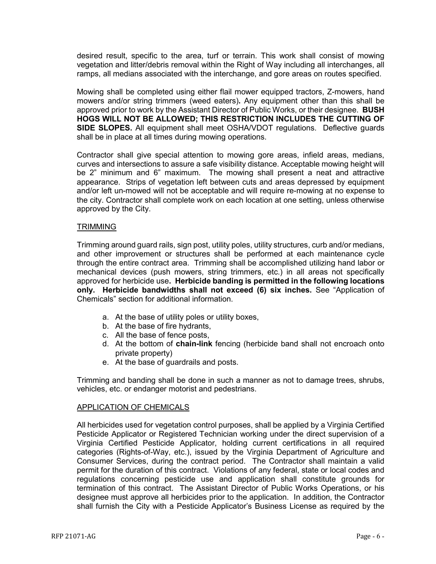desired result, specific to the area, turf or terrain. This work shall consist of mowing vegetation and litter/debris removal within the Right of Way including all interchanges, all ramps, all medians associated with the interchange, and gore areas on routes specified.

Mowing shall be completed using either flail mower equipped tractors, Z-mowers, hand mowers and/or string trimmers (weed eaters)**.** Any equipment other than this shall be approved prior to work by the Assistant Director of Public Works, or their designee. **BUSH HOGS WILL NOT BE ALLOWED; THIS RESTRICTION INCLUDES THE CUTTING OF SIDE SLOPES.** All equipment shall meet OSHA/VDOT regulations. Deflective guards shall be in place at all times during mowing operations.

Contractor shall give special attention to mowing gore areas, infield areas, medians, curves and intersections to assure a safe visibility distance. Acceptable mowing height will be 2" minimum and 6" maximum. The mowing shall present a neat and attractive appearance. Strips of vegetation left between cuts and areas depressed by equipment and/or left un-mowed will not be acceptable and will require re-mowing at no expense to the city. Contractor shall complete work on each location at one setting, unless otherwise approved by the City.

## **TRIMMING**

Trimming around guard rails, sign post, utility poles, utility structures, curb and/or medians, and other improvement or structures shall be performed at each maintenance cycle through the entire contract area. Trimming shall be accomplished utilizing hand labor or mechanical devices (push mowers, string trimmers, etc.) in all areas not specifically approved for herbicide use**. Herbicide banding is permitted in the following locations only. Herbicide bandwidths shall not exceed (6) six inches.** See "Application of Chemicals" section for additional information.

- a. At the base of utility poles or utility boxes,
- b. At the base of fire hydrants,
- c. All the base of fence posts,
- d. At the bottom of **chain-link** fencing (herbicide band shall not encroach onto private property)
- e. At the base of guardrails and posts.

Trimming and banding shall be done in such a manner as not to damage trees, shrubs, vehicles, etc. or endanger motorist and pedestrians.

## APPLICATION OF CHEMICALS

All herbicides used for vegetation control purposes, shall be applied by a Virginia Certified Pesticide Applicator or Registered Technician working under the direct supervision of a Virginia Certified Pesticide Applicator, holding current certifications in all required categories (Rights-of-Way, etc.), issued by the Virginia Department of Agriculture and Consumer Services, during the contract period. The Contractor shall maintain a valid permit for the duration of this contract. Violations of any federal, state or local codes and regulations concerning pesticide use and application shall constitute grounds for termination of this contract. The Assistant Director of Public Works Operations, or his designee must approve all herbicides prior to the application. In addition, the Contractor shall furnish the City with a Pesticide Applicator's Business License as required by the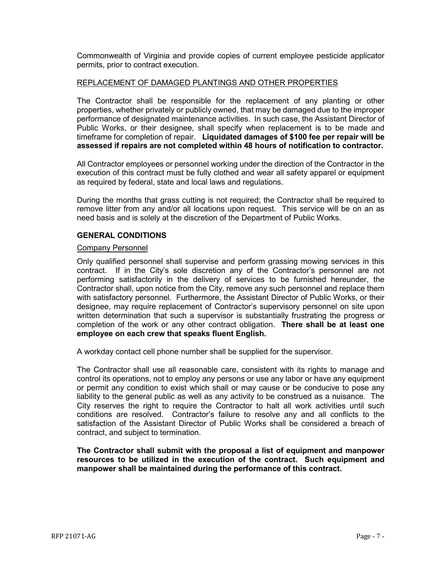Commonwealth of Virginia and provide copies of current employee pesticide applicator permits, prior to contract execution.

## REPLACEMENT OF DAMAGED PLANTINGS AND OTHER PROPERTIES

The Contractor shall be responsible for the replacement of any planting or other properties, whether privately or publicly owned, that may be damaged due to the improper performance of designated maintenance activities. In such case, the Assistant Director of Public Works, or their designee, shall specify when replacement is to be made and timeframe for completion of repair. **Liquidated damages of \$100 fee per repair will be assessed if repairs are not completed within 48 hours of notification to contractor.**

All Contractor employees or personnel working under the direction of the Contractor in the execution of this contract must be fully clothed and wear all safety apparel or equipment as required by federal, state and local laws and regulations.

During the months that grass cutting is not required; the Contractor shall be required to remove litter from any and/or all locations upon request. This service will be on an as need basis and is solely at the discretion of the Department of Public Works.

## **GENERAL CONDITIONS**

#### Company Personnel

Only qualified personnel shall supervise and perform grassing mowing services in this contract. If in the City's sole discretion any of the Contractor's personnel are not performing satisfactorily in the delivery of services to be furnished hereunder, the Contractor shall, upon notice from the City, remove any such personnel and replace them with satisfactory personnel. Furthermore, the Assistant Director of Public Works, or their designee, may require replacement of Contractor's supervisory personnel on site upon written determination that such a supervisor is substantially frustrating the progress or completion of the work or any other contract obligation. **There shall be at least one employee on each crew that speaks fluent English.**

A workday contact cell phone number shall be supplied for the supervisor.

The Contractor shall use all reasonable care, consistent with its rights to manage and control its operations, not to employ any persons or use any labor or have any equipment or permit any condition to exist which shall or may cause or be conducive to pose any liability to the general public as well as any activity to be construed as a nuisance. The City reserves the right to require the Contractor to halt all work activities until such conditions are resolved. Contractor's failure to resolve any and all conflicts to the satisfaction of the Assistant Director of Public Works shall be considered a breach of contract, and subject to termination.

**The Contractor shall submit with the proposal a list of equipment and manpower resources to be utilized in the execution of the contract. Such equipment and manpower shall be maintained during the performance of this contract.**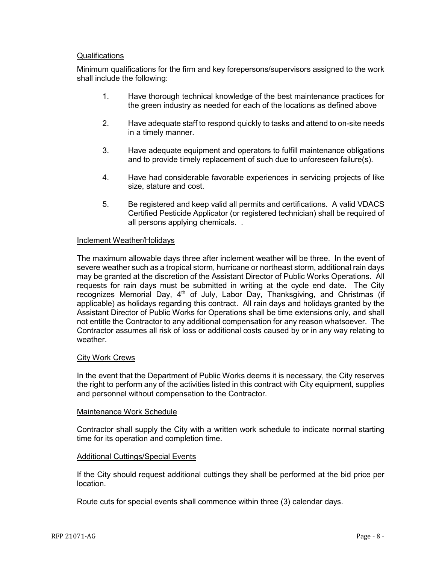## **Qualifications**

Minimum qualifications for the firm and key forepersons/supervisors assigned to the work shall include the following:

- 1. Have thorough technical knowledge of the best maintenance practices for the green industry as needed for each of the locations as defined above
- 2. Have adequate staff to respond quickly to tasks and attend to on-site needs in a timely manner.
- 3. Have adequate equipment and operators to fulfill maintenance obligations and to provide timely replacement of such due to unforeseen failure(s).
- 4. Have had considerable favorable experiences in servicing projects of like size, stature and cost.
- 5. Be registered and keep valid all permits and certifications. A valid VDACS Certified Pesticide Applicator (or registered technician) shall be required of all persons applying chemicals. .

## Inclement Weather/Holidays

The maximum allowable days three after inclement weather will be three. In the event of severe weather such as a tropical storm, hurricane or northeast storm, additional rain days may be granted at the discretion of the Assistant Director of Public Works Operations. All requests for rain days must be submitted in writing at the cycle end date. The City recognizes Memorial Day,  $4<sup>th</sup>$  of July, Labor Day, Thanksgiving, and Christmas (if applicable) as holidays regarding this contract. All rain days and holidays granted by the Assistant Director of Public Works for Operations shall be time extensions only, and shall not entitle the Contractor to any additional compensation for any reason whatsoever. The Contractor assumes all risk of loss or additional costs caused by or in any way relating to weather.

## City Work Crews

In the event that the Department of Public Works deems it is necessary, the City reserves the right to perform any of the activities listed in this contract with City equipment, supplies and personnel without compensation to the Contractor.

## Maintenance Work Schedule

Contractor shall supply the City with a written work schedule to indicate normal starting time for its operation and completion time.

## Additional Cuttings/Special Events

If the City should request additional cuttings they shall be performed at the bid price per location.

Route cuts for special events shall commence within three (3) calendar days.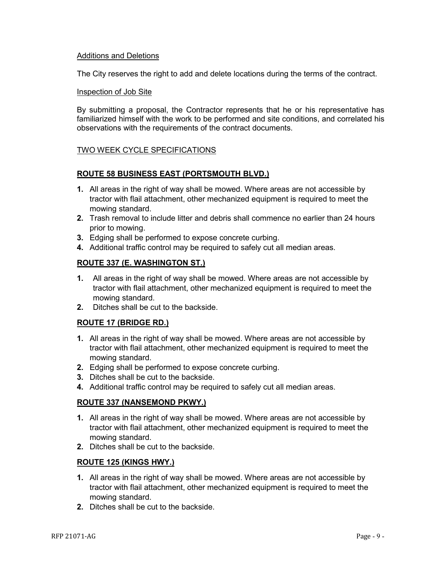## Additions and Deletions

The City reserves the right to add and delete locations during the terms of the contract.

## Inspection of Job Site

By submitting a proposal, the Contractor represents that he or his representative has familiarized himself with the work to be performed and site conditions, and correlated his observations with the requirements of the contract documents.

## TWO WEEK CYCLE SPECIFICATIONS

## **ROUTE 58 BUSINESS EAST (PORTSMOUTH BLVD.)**

- **1.** All areas in the right of way shall be mowed. Where areas are not accessible by tractor with flail attachment, other mechanized equipment is required to meet the mowing standard.
- **2.** Trash removal to include litter and debris shall commence no earlier than 24 hours prior to mowing.
- **3.** Edging shall be performed to expose concrete curbing.
- **4.** Additional traffic control may be required to safely cut all median areas.

## **ROUTE 337 (E. WASHINGTON ST.)**

- **1.** All areas in the right of way shall be mowed. Where areas are not accessible by tractor with flail attachment, other mechanized equipment is required to meet the mowing standard.
- **2.** Ditches shall be cut to the backside.

## **ROUTE 17 (BRIDGE RD.)**

- **1.** All areas in the right of way shall be mowed. Where areas are not accessible by tractor with flail attachment, other mechanized equipment is required to meet the mowing standard.
- **2.** Edging shall be performed to expose concrete curbing.
- **3.** Ditches shall be cut to the backside.
- **4.** Additional traffic control may be required to safely cut all median areas.

## **ROUTE 337 (NANSEMOND PKWY.)**

- **1.** All areas in the right of way shall be mowed. Where areas are not accessible by tractor with flail attachment, other mechanized equipment is required to meet the mowing standard.
- **2.** Ditches shall be cut to the backside.

## **ROUTE 125 (KINGS HWY.)**

- **1.** All areas in the right of way shall be mowed. Where areas are not accessible by tractor with flail attachment, other mechanized equipment is required to meet the mowing standard.
- **2.** Ditches shall be cut to the backside.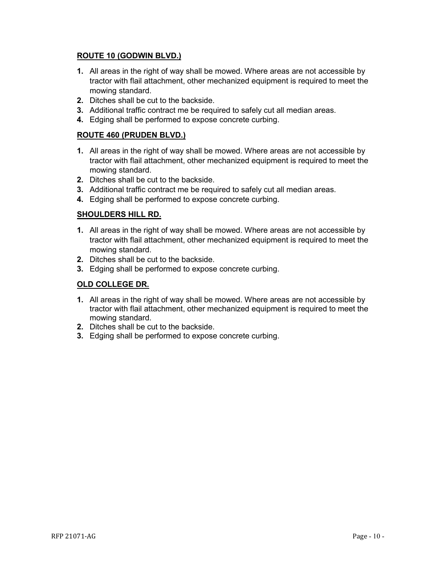## **ROUTE 10 (GODWIN BLVD.)**

- **1.** All areas in the right of way shall be mowed. Where areas are not accessible by tractor with flail attachment, other mechanized equipment is required to meet the mowing standard.
- **2.** Ditches shall be cut to the backside.
- **3.** Additional traffic contract me be required to safely cut all median areas.
- **4.** Edging shall be performed to expose concrete curbing.

## **ROUTE 460 (PRUDEN BLVD.)**

- **1.** All areas in the right of way shall be mowed. Where areas are not accessible by tractor with flail attachment, other mechanized equipment is required to meet the mowing standard.
- **2.** Ditches shall be cut to the backside.
- **3.** Additional traffic contract me be required to safely cut all median areas.
- **4.** Edging shall be performed to expose concrete curbing.

## **SHOULDERS HILL RD.**

- **1.** All areas in the right of way shall be mowed. Where areas are not accessible by tractor with flail attachment, other mechanized equipment is required to meet the mowing standard.
- **2.** Ditches shall be cut to the backside.
- **3.** Edging shall be performed to expose concrete curbing.

## **OLD COLLEGE DR.**

- **1.** All areas in the right of way shall be mowed. Where areas are not accessible by tractor with flail attachment, other mechanized equipment is required to meet the mowing standard.
- **2.** Ditches shall be cut to the backside.
- **3.** Edging shall be performed to expose concrete curbing.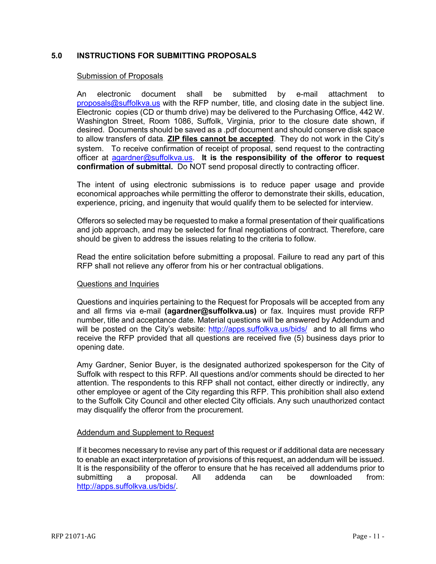## <span id="page-10-0"></span>**5.0 INSTRUCTIONS FOR SUBMITTING PROPOSALS**

#### Submission of Proposals

An electronic document shall be submitted by e-mail attachment to  $proposals@suffolkva.us$  with the RFP number, title, and closing date in the subject line. Electronic copies (CD or thumb drive) may be delivered to the Purchasing Office, 442 W. Washington Street, Room 1086, Suffolk, Virginia, prior to the closure date shown, if desired. Documents should be saved as a .pdf document and should conserve disk space to allow transfers of data. **ZIP files cannot be accepted**. They do not work in the City's system. To receive confirmation of receipt of proposal, send request to the contracting officer at [agardner@suffolkva.us.](mailto:agardner@suffolkva.us) **It is the responsibility of the offeror to request confirmation of submittal.** Do NOT send proposal directly to contracting officer.

The intent of using electronic submissions is to reduce paper usage and provide economical approaches while permitting the offeror to demonstrate their skills, education, experience, pricing, and ingenuity that would qualify them to be selected for interview.

Offerors so selected may be requested to make a formal presentation of their qualifications and job approach, and may be selected for final negotiations of contract. Therefore, care should be given to address the issues relating to the criteria to follow.

Read the entire solicitation before submitting a proposal. Failure to read any part of this RFP shall not relieve any offeror from his or her contractual obligations.

#### Questions and Inquiries

Questions and inquiries pertaining to the Request for Proposals will be accepted from any and all firms via e-mail **(agardner@suffolkva.us)** or fax. Inquires must provide RFP number, title and acceptance date. Material questions will be answered by Addendum and will be posted on the City's website: <http://apps.suffolkva.us/bids/>and to all firms who receive the RFP provided that all questions are received five (5) business days prior to opening date.

Amy Gardner, Senior Buyer, is the designated authorized spokesperson for the City of Suffolk with respect to this RFP. All questions and/or comments should be directed to her attention. The respondents to this RFP shall not contact, either directly or indirectly, any other employee or agent of the City regarding this RFP. This prohibition shall also extend to the Suffolk City Council and other elected City officials. Any such unauthorized contact may disqualify the offeror from the procurement.

## Addendum and Supplement to Request

If it becomes necessary to revise any part of this request or if additional data are necessary to enable an exact interpretation of provisions of this request, an addendum will be issued. It is the responsibility of the offeror to ensure that he has received all addendums prior to submitting a proposal. All addenda can be downloaded from: [http://apps.suffolkva.us/bids/.](http://apps.suffolkva.us/bids/)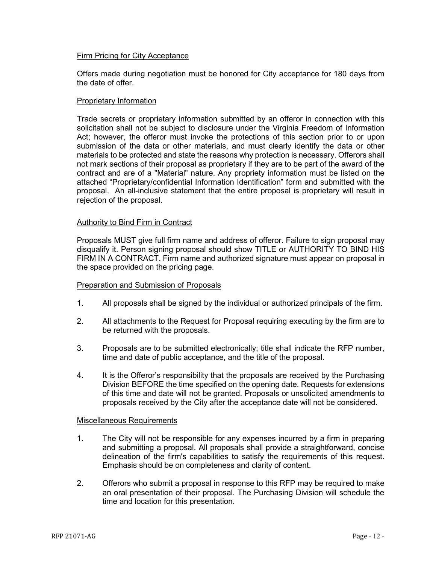## Firm Pricing for City Acceptance

Offers made during negotiation must be honored for City acceptance for 180 days from the date of offer.

## Proprietary Information

Trade secrets or proprietary information submitted by an offeror in connection with this solicitation shall not be subject to disclosure under the Virginia Freedom of Information Act; however, the offeror must invoke the protections of this section prior to or upon submission of the data or other materials, and must clearly identify the data or other materials to be protected and state the reasons why protection is necessary. Offerors shall not mark sections of their proposal as proprietary if they are to be part of the award of the contract and are of a "Material" nature. Any propriety information must be listed on the attached "Proprietary/confidential Information Identification" form and submitted with the proposal. An all-inclusive statement that the entire proposal is proprietary will result in rejection of the proposal.

## Authority to Bind Firm in Contract

Proposals MUST give full firm name and address of offeror. Failure to sign proposal may disqualify it. Person signing proposal should show TITLE or AUTHORITY TO BIND HIS FIRM IN A CONTRACT. Firm name and authorized signature must appear on proposal in the space provided on the pricing page.

## Preparation and Submission of Proposals

- 1. All proposals shall be signed by the individual or authorized principals of the firm.
- 2. All attachments to the Request for Proposal requiring executing by the firm are to be returned with the proposals.
- 3. Proposals are to be submitted electronically; title shall indicate the RFP number, time and date of public acceptance, and the title of the proposal.
- 4. It is the Offeror's responsibility that the proposals are received by the Purchasing Division BEFORE the time specified on the opening date. Requests for extensions of this time and date will not be granted. Proposals or unsolicited amendments to proposals received by the City after the acceptance date will not be considered.

## Miscellaneous Requirements

- 1. The City will not be responsible for any expenses incurred by a firm in preparing and submitting a proposal. All proposals shall provide a straightforward, concise delineation of the firm's capabilities to satisfy the requirements of this request. Emphasis should be on completeness and clarity of content.
- 2. Offerors who submit a proposal in response to this RFP may be required to make an oral presentation of their proposal. The Purchasing Division will schedule the time and location for this presentation.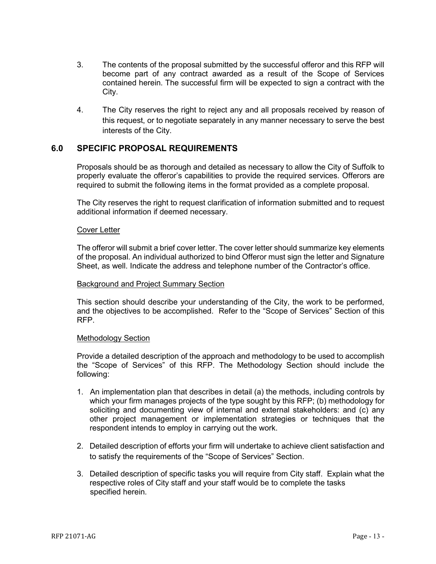- 3. The contents of the proposal submitted by the successful offeror and this RFP will become part of any contract awarded as a result of the Scope of Services contained herein. The successful firm will be expected to sign a contract with the City.
- 4. The City reserves the right to reject any and all proposals received by reason of this request, or to negotiate separately in any manner necessary to serve the best interests of the City.

## <span id="page-12-0"></span>**6.0 SPECIFIC PROPOSAL REQUIREMENTS**

Proposals should be as thorough and detailed as necessary to allow the City of Suffolk to properly evaluate the offeror's capabilities to provide the required services. Offerors are required to submit the following items in the format provided as a complete proposal.

The City reserves the right to request clarification of information submitted and to request additional information if deemed necessary.

#### Cover Letter

The offeror will submit a brief cover letter. The cover letter should summarize key elements of the proposal. An individual authorized to bind Offeror must sign the letter and Signature Sheet, as well. Indicate the address and telephone number of the Contractor's office.

#### Background and Project Summary Section

This section should describe your understanding of the City, the work to be performed, and the objectives to be accomplished. Refer to the "Scope of Services" Section of this RFP.

## Methodology Section

Provide a detailed description of the approach and methodology to be used to accomplish the "Scope of Services" of this RFP. The Methodology Section should include the following:

- 1. An implementation plan that describes in detail (a) the methods, including controls by which your firm manages projects of the type sought by this RFP; (b) methodology for soliciting and documenting view of internal and external stakeholders: and (c) any other project management or implementation strategies or techniques that the respondent intends to employ in carrying out the work.
- 2. Detailed description of efforts your firm will undertake to achieve client satisfaction and to satisfy the requirements of the "Scope of Services" Section.
- 3. Detailed description of specific tasks you will require from City staff. Explain what the respective roles of City staff and your staff would be to complete the tasks specified herein.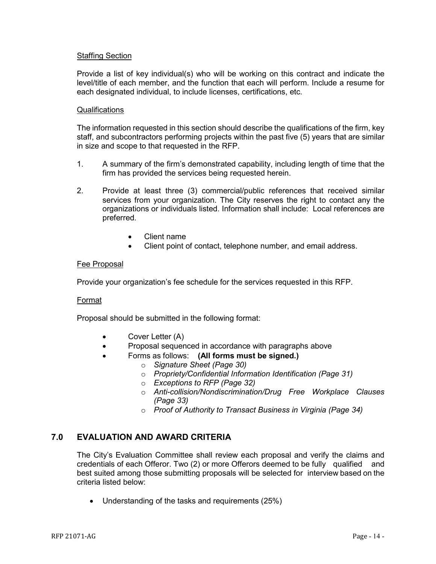## Staffing Section

Provide a list of key individual(s) who will be working on this contract and indicate the level/title of each member, and the function that each will perform. Include a resume for each designated individual, to include licenses, certifications, etc.

## **Qualifications**

The information requested in this section should describe the qualifications of the firm, key staff, and subcontractors performing projects within the past five (5) years that are similar in size and scope to that requested in the RFP.

- 1. A summary of the firm's demonstrated capability, including length of time that the firm has provided the services being requested herein.
- 2. Provide at least three (3) commercial/public references that received similar services from your organization. The City reserves the right to contact any the organizations or individuals listed. Information shall include: Local references are preferred.
	- Client name
	- Client point of contact, telephone number, and email address.

## Fee Proposal

Provide your organization's fee schedule for the services requested in this RFP.

## Format

Proposal should be submitted in the following format:

- Cover Letter (A)
- Proposal sequenced in accordance with paragraphs above
	- Forms as follows: **(All forms must be signed.)**
		- o *Signature Sheet (Page 30)*
		- o *Propriety/Confidential Information Identification (Page 31)*
		- o *Exceptions to RFP (Page 32)*
		- o *Anti-collision/Nondiscrimination/Drug Free Workplace Clauses (Page 33)*
		- o *Proof of Authority to Transact Business in Virginia (Page 34)*

## **7.0 EVALUATION AND AWARD CRITERIA**

The City's Evaluation Committee shall review each proposal and verify the claims and credentials of each Offeror. Two (2) or more Offerors deemed to be fully qualified and best suited among those submitting proposals will be selected for interview based on the criteria listed below:

• Understanding of the tasks and requirements (25%)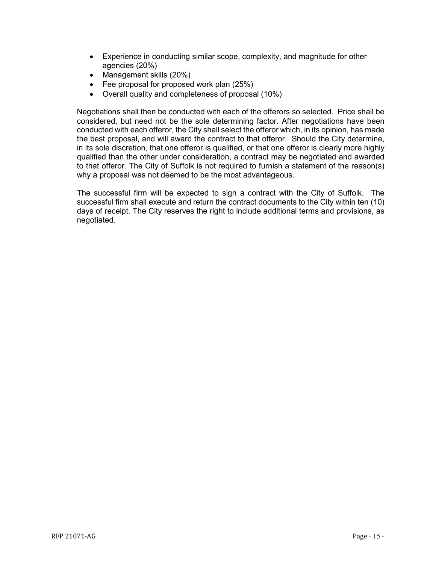- Experience in conducting similar scope, complexity, and magnitude for other agencies (20%)
- Management skills (20%)
- Fee proposal for proposed work plan (25%)
- Overall quality and completeness of proposal (10%)

Negotiations shall then be conducted with each of the offerors so selected. Price shall be considered, but need not be the sole determining factor. After negotiations have been conducted with each offeror, the City shall select the offeror which, in its opinion, has made the best proposal, and will award the contract to that offeror. Should the City determine, in its sole discretion, that one offeror is qualified, or that one offeror is clearly more highly qualified than the other under consideration, a contract may be negotiated and awarded to that offeror. The City of Suffolk is not required to furnish a statement of the reason(s) why a proposal was not deemed to be the most advantageous.

The successful firm will be expected to sign a contract with the City of Suffolk. The successful firm shall execute and return the contract documents to the City within ten (10) days of receipt. The City reserves the right to include additional terms and provisions, as negotiated.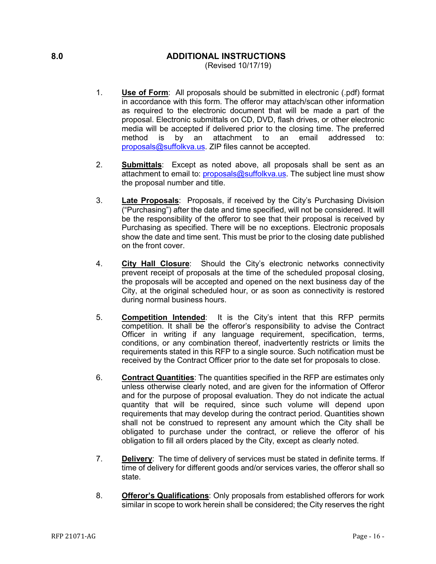## <span id="page-15-0"></span>**8.0 ADDITIONAL INSTRUCTIONS**

(Revised 10/17/19)

- 1. **Use of Form**: All proposals should be submitted in electronic (.pdf) format in accordance with this form. The offeror may attach/scan other information as required to the electronic document that will be made a part of the proposal. Electronic submittals on CD, DVD, flash drives, or other electronic media will be accepted if delivered prior to the closing time. The preferred method is by an attachment to an email addressed to: [proposals@suffolkva.us.](mailto:proposals@suffolkva.us) ZIP files cannot be accepted.
- 2. **Submittals**: Except as noted above, all proposals shall be sent as an attachment to email to: [proposals@suffolkva.us.](mailto:proposals@suffolkva.us) The subject line must show the proposal number and title.
- 3. **Late Proposals**: Proposals, if received by the City's Purchasing Division ("Purchasing") after the date and time specified, will not be considered. It will be the responsibility of the offeror to see that their proposal is received by Purchasing as specified. There will be no exceptions. Electronic proposals show the date and time sent. This must be prior to the closing date published on the front cover.
- 4. **City Hall Closure**: Should the City's electronic networks connectivity prevent receipt of proposals at the time of the scheduled proposal closing, the proposals will be accepted and opened on the next business day of the City, at the original scheduled hour, or as soon as connectivity is restored during normal business hours.
- 5. **Competition Intended**: It is the City's intent that this RFP permits competition. It shall be the offeror's responsibility to advise the Contract Officer in writing if any language requirement, specification, terms, conditions, or any combination thereof, inadvertently restricts or limits the requirements stated in this RFP to a single source. Such notification must be received by the Contract Officer prior to the date set for proposals to close.
- 6. **Contract Quantities**: The quantities specified in the RFP are estimates only unless otherwise clearly noted, and are given for the information of Offeror and for the purpose of proposal evaluation. They do not indicate the actual quantity that will be required, since such volume will depend upon requirements that may develop during the contract period. Quantities shown shall not be construed to represent any amount which the City shall be obligated to purchase under the contract, or relieve the offeror of his obligation to fill all orders placed by the City, except as clearly noted.
- 7. **Delivery**: The time of delivery of services must be stated in definite terms. If time of delivery for different goods and/or services varies, the offeror shall so state.
- 8. **Offeror's Qualifications**: Only proposals from established offerors for work similar in scope to work herein shall be considered; the City reserves the right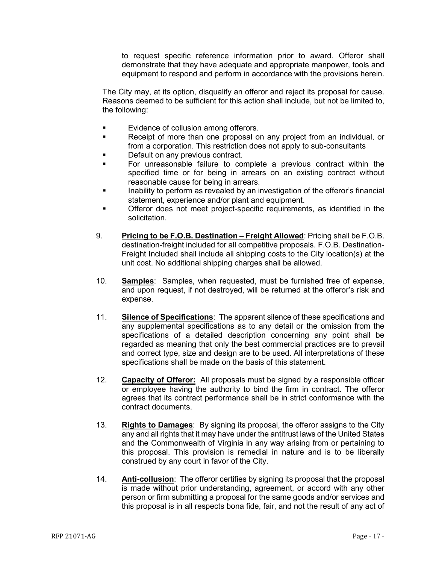to request specific reference information prior to award. Offeror shall demonstrate that they have adequate and appropriate manpower, tools and equipment to respond and perform in accordance with the provisions herein.

The City may, at its option, disqualify an offeror and reject its proposal for cause. Reasons deemed to be sufficient for this action shall include, but not be limited to, the following:

- **Evidence of collusion among offerors.**
- **Receipt of more than one proposal on any project from an individual, or** from a corporation. This restriction does not apply to sub-consultants
- Default on any previous contract.
- For unreasonable failure to complete a previous contract within the specified time or for being in arrears on an existing contract without reasonable cause for being in arrears.
- Inability to perform as revealed by an investigation of the offeror's financial statement, experience and/or plant and equipment.
- Offeror does not meet project-specific requirements, as identified in the solicitation.
- 9. **Pricing to be F.O.B. Destination – Freight Allowed**: Pricing shall be F.O.B. destination-freight included for all competitive proposals. F.O.B. Destination-Freight Included shall include all shipping costs to the City location(s) at the unit cost. No additional shipping charges shall be allowed.
- 10. **Samples**: Samples, when requested, must be furnished free of expense, and upon request, if not destroyed, will be returned at the offeror's risk and expense.
- 11. **Silence of Specifications**: The apparent silence of these specifications and any supplemental specifications as to any detail or the omission from the specifications of a detailed description concerning any point shall be regarded as meaning that only the best commercial practices are to prevail and correct type, size and design are to be used. All interpretations of these specifications shall be made on the basis of this statement.
- 12. **Capacity of Offeror:** All proposals must be signed by a responsible officer or employee having the authority to bind the firm in contract. The offeror agrees that its contract performance shall be in strict conformance with the contract documents.
- 13. **Rights to Damages**: By signing its proposal, the offeror assigns to the City any and all rights that it may have under the antitrust laws of the United States and the Commonwealth of Virginia in any way arising from or pertaining to this proposal. This provision is remedial in nature and is to be liberally construed by any court in favor of the City.
- 14. **Anti-collusion**: The offeror certifies by signing its proposal that the proposal is made without prior understanding, agreement, or accord with any other person or firm submitting a proposal for the same goods and/or services and this proposal is in all respects bona fide, fair, and not the result of any act of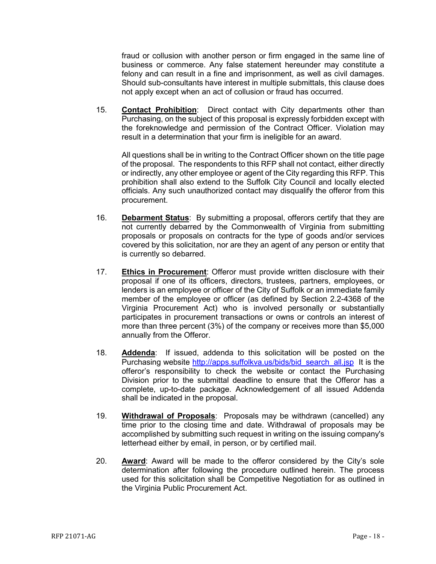fraud or collusion with another person or firm engaged in the same line of business or commerce. Any false statement hereunder may constitute a felony and can result in a fine and imprisonment, as well as civil damages. Should sub-consultants have interest in multiple submittals, this clause does not apply except when an act of collusion or fraud has occurred.

15. **Contact Prohibition**: Direct contact with City departments other than Purchasing, on the subject of this proposal is expressly forbidden except with the foreknowledge and permission of the Contract Officer. Violation may result in a determination that your firm is ineligible for an award.

All questions shall be in writing to the Contract Officer shown on the title page of the proposal. The respondents to this RFP shall not contact, either directly or indirectly, any other employee or agent of the City regarding this RFP. This prohibition shall also extend to the Suffolk City Council and locally elected officials. Any such unauthorized contact may disqualify the offeror from this procurement.

- 16. **Debarment Status**: By submitting a proposal, offerors certify that they are not currently debarred by the Commonwealth of Virginia from submitting proposals or proposals on contracts for the type of goods and/or services covered by this solicitation, nor are they an agent of any person or entity that is currently so debarred.
- 17. **Ethics in Procurement**: Offeror must provide written disclosure with their proposal if one of its officers, directors, trustees, partners, employees, or lenders is an employee or officer of the City of Suffolk or an immediate family member of the employee or officer (as defined by Section 2.2-4368 of the Virginia Procurement Act) who is involved personally or substantially participates in procurement transactions or owns or controls an interest of more than three percent (3%) of the company or receives more than \$5,000 annually from the Offeror.
- 18. **Addenda**: If issued, addenda to this solicitation will be posted on the Purchasing website [http://apps.suffolkva.us/bids/bid\\_search\\_all.jsp](http://apps.suffolkva.us/bids/bid_search_all.jsp) It is the offeror's responsibility to check the website or contact the Purchasing Division prior to the submittal deadline to ensure that the Offeror has a complete, up-to-date package. Acknowledgement of all issued Addenda shall be indicated in the proposal.
- 19. **Withdrawal of Proposals**: Proposals may be withdrawn (cancelled) any time prior to the closing time and date. Withdrawal of proposals may be accomplished by submitting such request in writing on the issuing company's letterhead either by email, in person, or by certified mail.
- 20. **Award**: Award will be made to the offeror considered by the City's sole determination after following the procedure outlined herein. The process used for this solicitation shall be Competitive Negotiation for as outlined in the Virginia Public Procurement Act.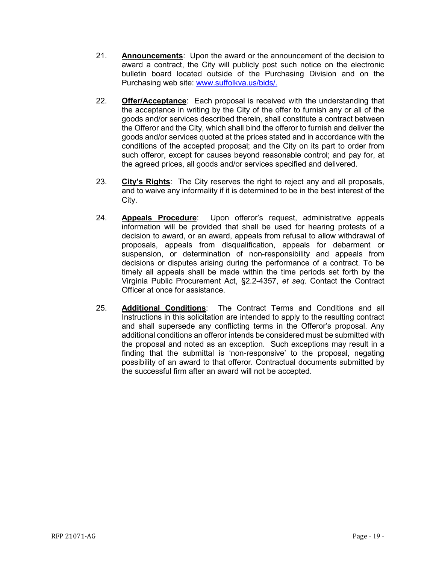- 21. **Announcements**: Upon the award or the announcement of the decision to award a contract, the City will publicly post such notice on the electronic bulletin board located outside of the Purchasing Division and on the Purchasing web site: [www.suffolkva.us/bids/.](http://www.suffolkva.us/bids/)
- 22. **Offer/Acceptance**: Each proposal is received with the understanding that the acceptance in writing by the City of the offer to furnish any or all of the goods and/or services described therein, shall constitute a contract between the Offeror and the City, which shall bind the offeror to furnish and deliver the goods and/or services quoted at the prices stated and in accordance with the conditions of the accepted proposal; and the City on its part to order from such offeror, except for causes beyond reasonable control; and pay for, at the agreed prices, all goods and/or services specified and delivered.
- 23. **City's Rights**: The City reserves the right to reject any and all proposals, and to waive any informality if it is determined to be in the best interest of the City.
- 24. **Appeals Procedure**: Upon offeror's request, administrative appeals information will be provided that shall be used for hearing protests of a decision to award, or an award, appeals from refusal to allow withdrawal of proposals, appeals from disqualification, appeals for debarment or suspension, or determination of non-responsibility and appeals from decisions or disputes arising during the performance of a contract. To be timely all appeals shall be made within the time periods set forth by the Virginia Public Procurement Act, §2.2-4357, *et seq*. Contact the Contract Officer at once for assistance.
- 25. **Additional Conditions**: The Contract Terms and Conditions and all Instructions in this solicitation are intended to apply to the resulting contract and shall supersede any conflicting terms in the Offeror's proposal. Any additional conditions an offeror intends be considered must be submitted with the proposal and noted as an exception. Such exceptions may result in a finding that the submittal is 'non-responsive' to the proposal, negating possibility of an award to that offeror. Contractual documents submitted by the successful firm after an award will not be accepted.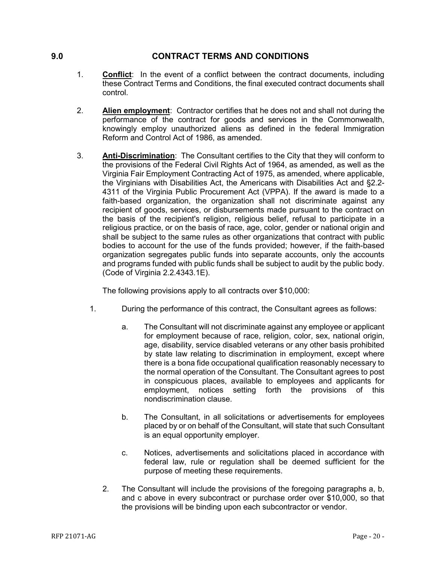## <span id="page-19-0"></span>**9.0 CONTRACT TERMS AND CONDITIONS**

- 1. **Conflict**: In the event of a conflict between the contract documents, including these Contract Terms and Conditions, the final executed contract documents shall control.
- 2. **Alien employment**: Contractor certifies that he does not and shall not during the performance of the contract for goods and services in the Commonwealth, knowingly employ unauthorized aliens as defined in the federal Immigration Reform and Control Act of 1986, as amended.
- 3. **Anti-Discrimination**: The Consultant certifies to the City that they will conform to the provisions of the Federal Civil Rights Act of 1964, as amended, as well as the Virginia Fair Employment Contracting Act of 1975, as amended, where applicable, the Virginians with Disabilities Act, the Americans with Disabilities Act and §2.2- 4311 of the Virginia Public Procurement Act (VPPA). If the award is made to a faith-based organization, the organization shall not discriminate against any recipient of goods, services, or disbursements made pursuant to the contract on the basis of the recipient's religion, religious belief, refusal to participate in a religious practice, or on the basis of race, age, color, gender or national origin and shall be subject to the same rules as other organizations that contract with public bodies to account for the use of the funds provided; however, if the faith-based organization segregates public funds into separate accounts, only the accounts and programs funded with public funds shall be subject to audit by the public body. (Code of Virginia 2.2.4343.1E).

The following provisions apply to all contracts over \$10,000:

- 1. During the performance of this contract, the Consultant agrees as follows:
	- a. The Consultant will not discriminate against any employee or applicant for employment because of race, religion, color, sex, national origin, age, disability, service disabled veterans or any other basis prohibited by state law relating to discrimination in employment, except where there is a bona fide occupational qualification reasonably necessary to the normal operation of the Consultant. The Consultant agrees to post in conspicuous places, available to employees and applicants for employment, notices setting forth the provisions of this nondiscrimination clause.
	- b. The Consultant, in all solicitations or advertisements for employees placed by or on behalf of the Consultant, will state that such Consultant is an equal opportunity employer.
	- c. Notices, advertisements and solicitations placed in accordance with federal law, rule or regulation shall be deemed sufficient for the purpose of meeting these requirements.
	- 2. The Consultant will include the provisions of the foregoing paragraphs a, b, and c above in every subcontract or purchase order over \$10,000, so that the provisions will be binding upon each subcontractor or vendor.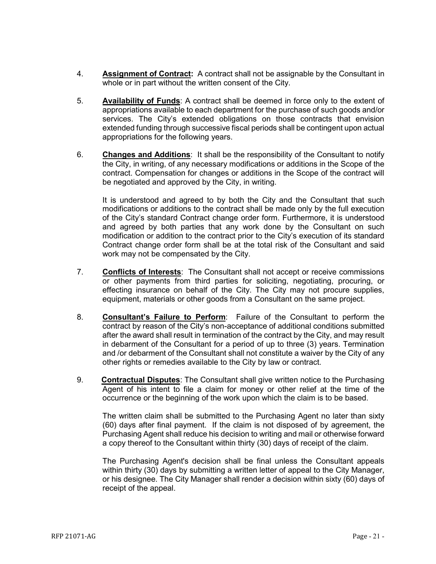- 4. **Assignment of Contract:** A contract shall not be assignable by the Consultant in whole or in part without the written consent of the City.
- 5. **Availability of Funds**: A contract shall be deemed in force only to the extent of appropriations available to each department for the purchase of such goods and/or services. The City's extended obligations on those contracts that envision extended funding through successive fiscal periods shall be contingent upon actual appropriations for the following years.
- 6. **Changes and Additions**: It shall be the responsibility of the Consultant to notify the City, in writing, of any necessary modifications or additions in the Scope of the contract. Compensation for changes or additions in the Scope of the contract will be negotiated and approved by the City, in writing.

It is understood and agreed to by both the City and the Consultant that such modifications or additions to the contract shall be made only by the full execution of the City's standard Contract change order form. Furthermore, it is understood and agreed by both parties that any work done by the Consultant on such modification or addition to the contract prior to the City's execution of its standard Contract change order form shall be at the total risk of the Consultant and said work may not be compensated by the City.

- 7. **Conflicts of Interests**: The Consultant shall not accept or receive commissions or other payments from third parties for soliciting, negotiating, procuring, or effecting insurance on behalf of the City. The City may not procure supplies, equipment, materials or other goods from a Consultant on the same project.
- 8. **Consultant's Failure to Perform**: Failure of the Consultant to perform the contract by reason of the City's non-acceptance of additional conditions submitted after the award shall result in termination of the contract by the City, and may result in debarment of the Consultant for a period of up to three (3) years. Termination and /or debarment of the Consultant shall not constitute a waiver by the City of any other rights or remedies available to the City by law or contract.
- 9. **Contractual Disputes**: The Consultant shall give written notice to the Purchasing Agent of his intent to file a claim for money or other relief at the time of the occurrence or the beginning of the work upon which the claim is to be based.

The written claim shall be submitted to the Purchasing Agent no later than sixty (60) days after final payment. If the claim is not disposed of by agreement, the Purchasing Agent shall reduce his decision to writing and mail or otherwise forward a copy thereof to the Consultant within thirty (30) days of receipt of the claim.

The Purchasing Agent's decision shall be final unless the Consultant appeals within thirty (30) days by submitting a written letter of appeal to the City Manager, or his designee. The City Manager shall render a decision within sixty (60) days of receipt of the appeal.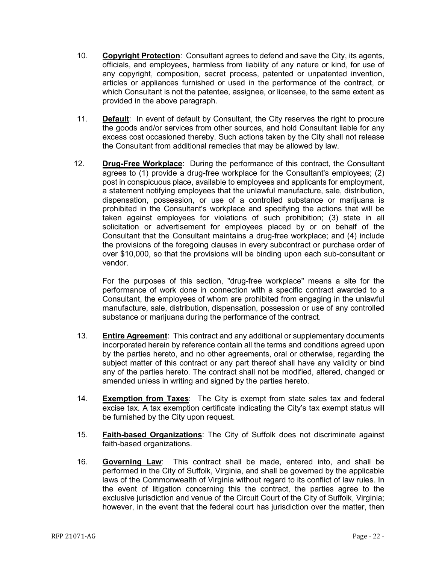- 10. **Copyright Protection**: Consultant agrees to defend and save the City, its agents, officials, and employees, harmless from liability of any nature or kind, for use of any copyright, composition, secret process, patented or unpatented invention, articles or appliances furnished or used in the performance of the contract, or which Consultant is not the patentee, assignee, or licensee, to the same extent as provided in the above paragraph.
- 11. **Default**: In event of default by Consultant, the City reserves the right to procure the goods and/or services from other sources, and hold Consultant liable for any excess cost occasioned thereby. Such actions taken by the City shall not release the Consultant from additional remedies that may be allowed by law.
- 12. **Drug-Free Workplace**: During the performance of this contract, the Consultant agrees to (1) provide a drug-free workplace for the Consultant's employees; (2) post in conspicuous place, available to employees and applicants for employment, a statement notifying employees that the unlawful manufacture, sale, distribution, dispensation, possession, or use of a controlled substance or marijuana is prohibited in the Consultant's workplace and specifying the actions that will be taken against employees for violations of such prohibition; (3) state in all solicitation or advertisement for employees placed by or on behalf of the Consultant that the Consultant maintains a drug-free workplace; and (4) include the provisions of the foregoing clauses in every subcontract or purchase order of over \$10,000, so that the provisions will be binding upon each sub-consultant or vendor.

For the purposes of this section, "drug-free workplace" means a site for the performance of work done in connection with a specific contract awarded to a Consultant, the employees of whom are prohibited from engaging in the unlawful manufacture, sale, distribution, dispensation, possession or use of any controlled substance or marijuana during the performance of the contract.

- 13. **Entire Agreement**: This contract and any additional or supplementary documents incorporated herein by reference contain all the terms and conditions agreed upon by the parties hereto, and no other agreements, oral or otherwise, regarding the subject matter of this contract or any part thereof shall have any validity or bind any of the parties hereto. The contract shall not be modified, altered, changed or amended unless in writing and signed by the parties hereto.
- 14. **Exemption from Taxes**: The City is exempt from state sales tax and federal excise tax. A tax exemption certificate indicating the City's tax exempt status will be furnished by the City upon request.
- 15. **Faith-based Organizations**: The City of Suffolk does not discriminate against faith-based organizations.
- 16. **Governing Law**: This contract shall be made, entered into, and shall be performed in the City of Suffolk, Virginia, and shall be governed by the applicable laws of the Commonwealth of Virginia without regard to its conflict of law rules. In the event of litigation concerning this the contract, the parties agree to the exclusive jurisdiction and venue of the Circuit Court of the City of Suffolk, Virginia; however, in the event that the federal court has jurisdiction over the matter, then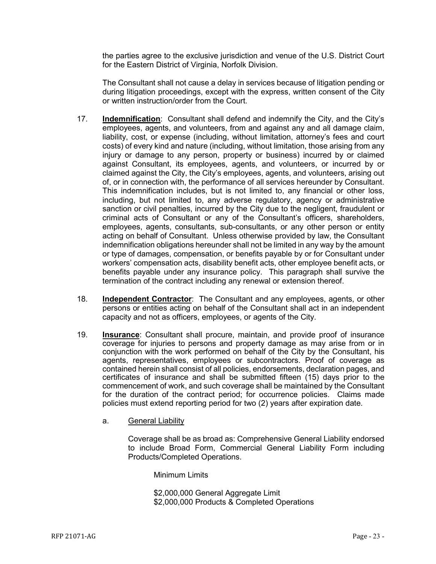the parties agree to the exclusive jurisdiction and venue of the U.S. District Court for the Eastern District of Virginia, Norfolk Division.

The Consultant shall not cause a delay in services because of litigation pending or during litigation proceedings, except with the express, written consent of the City or written instruction/order from the Court.

- 17. **Indemnification**: Consultant shall defend and indemnify the City, and the City's employees, agents, and volunteers, from and against any and all damage claim, liability, cost, or expense (including, without limitation, attorney's fees and court costs) of every kind and nature (including, without limitation, those arising from any injury or damage to any person, property or business) incurred by or claimed against Consultant, its employees, agents, and volunteers, or incurred by or claimed against the City, the City's employees, agents, and volunteers, arising out of, or in connection with, the performance of all services hereunder by Consultant. This indemnification includes, but is not limited to, any financial or other loss, including, but not limited to, any adverse regulatory, agency or administrative sanction or civil penalties, incurred by the City due to the negligent, fraudulent or criminal acts of Consultant or any of the Consultant's officers, shareholders, employees, agents, consultants, sub-consultants, or any other person or entity acting on behalf of Consultant. Unless otherwise provided by law, the Consultant indemnification obligations hereunder shall not be limited in any way by the amount or type of damages, compensation, or benefits payable by or for Consultant under workers' compensation acts, disability benefit acts, other employee benefit acts, or benefits payable under any insurance policy. This paragraph shall survive the termination of the contract including any renewal or extension thereof.
- 18. **Independent Contractor**: The Consultant and any employees, agents, or other persons or entities acting on behalf of the Consultant shall act in an independent capacity and not as officers, employees, or agents of the City.
- 19. **Insurance**: Consultant shall procure, maintain, and provide proof of insurance coverage for injuries to persons and property damage as may arise from or in conjunction with the work performed on behalf of the City by the Consultant, his agents, representatives, employees or subcontractors. Proof of coverage as contained herein shall consist of all policies, endorsements, declaration pages, and certificates of insurance and shall be submitted fifteen (15) days prior to the commencement of work, and such coverage shall be maintained by the Consultant for the duration of the contract period; for occurrence policies. Claims made policies must extend reporting period for two (2) years after expiration date.
	- a. General Liability

Coverage shall be as broad as: Comprehensive General Liability endorsed to include Broad Form, Commercial General Liability Form including Products/Completed Operations.

Minimum Limits

\$2,000,000 General Aggregate Limit \$2,000,000 Products & Completed Operations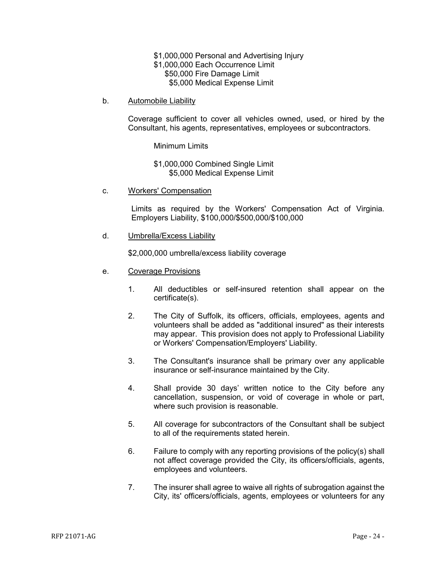\$1,000,000 Personal and Advertising Injury \$1,000,000 Each Occurrence Limit \$50,000 Fire Damage Limit \$5,000 Medical Expense Limit

b. Automobile Liability

Coverage sufficient to cover all vehicles owned, used, or hired by the Consultant, his agents, representatives, employees or subcontractors.

Minimum Limits

\$1,000,000 Combined Single Limit \$5,000 Medical Expense Limit

c. Workers' Compensation

Limits as required by the Workers' Compensation Act of Virginia. Employers Liability, \$100,000/\$500,000/\$100,000

d. Umbrella/Excess Liability

\$2,000,000 umbrella/excess liability coverage

- e. Coverage Provisions
	- 1. All deductibles or self-insured retention shall appear on the certificate(s).
	- 2. The City of Suffolk, its officers, officials, employees, agents and volunteers shall be added as "additional insured" as their interests may appear. This provision does not apply to Professional Liability or Workers' Compensation/Employers' Liability.
	- 3. The Consultant's insurance shall be primary over any applicable insurance or self-insurance maintained by the City.
	- 4. Shall provide 30 days' written notice to the City before any cancellation, suspension, or void of coverage in whole or part, where such provision is reasonable.
	- 5. All coverage for subcontractors of the Consultant shall be subject to all of the requirements stated herein.
	- 6. Failure to comply with any reporting provisions of the policy(s) shall not affect coverage provided the City, its officers/officials, agents, employees and volunteers.
	- 7. The insurer shall agree to waive all rights of subrogation against the City, its' officers/officials, agents, employees or volunteers for any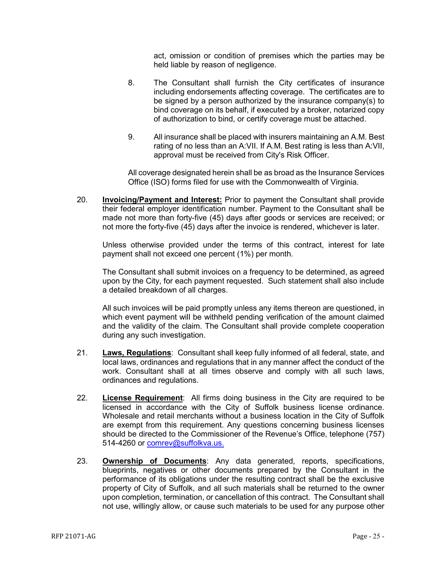act, omission or condition of premises which the parties may be held liable by reason of negligence.

- 8. The Consultant shall furnish the City certificates of insurance including endorsements affecting coverage. The certificates are to be signed by a person authorized by the insurance company(s) to bind coverage on its behalf, if executed by a broker, notarized copy of authorization to bind, or certify coverage must be attached.
- 9. All insurance shall be placed with insurers maintaining an A.M. Best rating of no less than an A:VII. If A.M. Best rating is less than A:VII, approval must be received from City's Risk Officer.

All coverage designated herein shall be as broad as the Insurance Services Office (ISO) forms filed for use with the Commonwealth of Virginia.

20. **Invoicing/Payment and Interest:** Prior to payment the Consultant shall provide their federal employer identification number. Payment to the Consultant shall be made not more than forty-five (45) days after goods or services are received; or not more the forty-five (45) days after the invoice is rendered, whichever is later.

Unless otherwise provided under the terms of this contract, interest for late payment shall not exceed one percent (1%) per month.

The Consultant shall submit invoices on a frequency to be determined, as agreed upon by the City, for each payment requested. Such statement shall also include a detailed breakdown of all charges.

All such invoices will be paid promptly unless any items thereon are questioned, in which event payment will be withheld pending verification of the amount claimed and the validity of the claim. The Consultant shall provide complete cooperation during any such investigation.

- 21. **Laws, Regulations**: Consultant shall keep fully informed of all federal, state, and local laws, ordinances and regulations that in any manner affect the conduct of the work. Consultant shall at all times observe and comply with all such laws, ordinances and regulations.
- 22. **License Requirement**: All firms doing business in the City are required to be licensed in accordance with the City of Suffolk business license ordinance. Wholesale and retail merchants without a business location in the City of Suffolk are exempt from this requirement. Any questions concerning business licenses should be directed to the Commissioner of the Revenue's Office, telephone (757) 514-4260 or [comrev@suffolkva.us.](mailto:comrev@suffolkva.us)
- 23. **Ownership of Documents**: Any data generated, reports, specifications, blueprints, negatives or other documents prepared by the Consultant in the performance of its obligations under the resulting contract shall be the exclusive property of City of Suffolk, and all such materials shall be returned to the owner upon completion, termination, or cancellation of this contract. The Consultant shall not use, willingly allow, or cause such materials to be used for any purpose other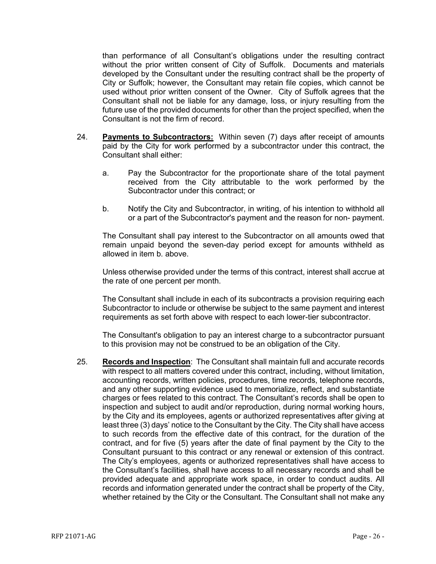than performance of all Consultant's obligations under the resulting contract without the prior written consent of City of Suffolk. Documents and materials developed by the Consultant under the resulting contract shall be the property of City or Suffolk; however, the Consultant may retain file copies, which cannot be used without prior written consent of the Owner. City of Suffolk agrees that the Consultant shall not be liable for any damage, loss, or injury resulting from the future use of the provided documents for other than the project specified, when the Consultant is not the firm of record.

- 24. **Payments to Subcontractors:** Within seven (7) days after receipt of amounts paid by the City for work performed by a subcontractor under this contract, the Consultant shall either:
	- a. Pay the Subcontractor for the proportionate share of the total payment received from the City attributable to the work performed by the Subcontractor under this contract; or
	- b. Notify the City and Subcontractor, in writing, of his intention to withhold all or a part of the Subcontractor's payment and the reason for non- payment.

The Consultant shall pay interest to the Subcontractor on all amounts owed that remain unpaid beyond the seven-day period except for amounts withheld as allowed in item b. above.

Unless otherwise provided under the terms of this contract, interest shall accrue at the rate of one percent per month.

The Consultant shall include in each of its subcontracts a provision requiring each Subcontractor to include or otherwise be subject to the same payment and interest requirements as set forth above with respect to each lower-tier subcontractor.

The Consultant's obligation to pay an interest charge to a subcontractor pursuant to this provision may not be construed to be an obligation of the City.

25. **Records and Inspection**: The Consultant shall maintain full and accurate records with respect to all matters covered under this contract, including, without limitation, accounting records, written policies, procedures, time records, telephone records, and any other supporting evidence used to memorialize, reflect, and substantiate charges or fees related to this contract. The Consultant's records shall be open to inspection and subject to audit and/or reproduction, during normal working hours, by the City and its employees, agents or authorized representatives after giving at least three (3) days' notice to the Consultant by the City. The City shall have access to such records from the effective date of this contract, for the duration of the contract, and for five (5) years after the date of final payment by the City to the Consultant pursuant to this contract or any renewal or extension of this contract. The City's employees, agents or authorized representatives shall have access to the Consultant's facilities, shall have access to all necessary records and shall be provided adequate and appropriate work space, in order to conduct audits. All records and information generated under the contract shall be property of the City, whether retained by the City or the Consultant. The Consultant shall not make any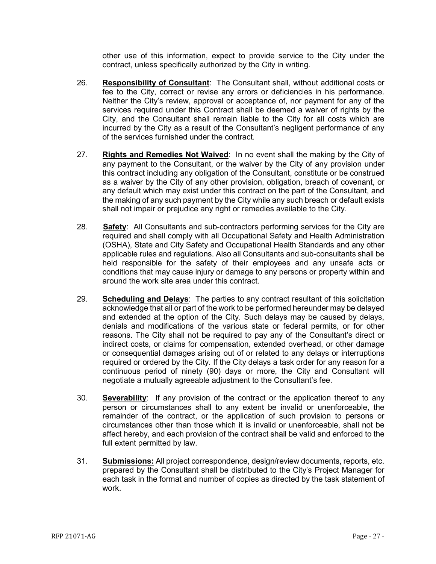other use of this information, expect to provide service to the City under the contract, unless specifically authorized by the City in writing.

- 26. **Responsibility of Consultant**: The Consultant shall, without additional costs or fee to the City, correct or revise any errors or deficiencies in his performance. Neither the City's review, approval or acceptance of, nor payment for any of the services required under this Contract shall be deemed a waiver of rights by the City, and the Consultant shall remain liable to the City for all costs which are incurred by the City as a result of the Consultant's negligent performance of any of the services furnished under the contract.
- 27. **Rights and Remedies Not Waived**: In no event shall the making by the City of any payment to the Consultant, or the waiver by the City of any provision under this contract including any obligation of the Consultant, constitute or be construed as a waiver by the City of any other provision, obligation, breach of covenant, or any default which may exist under this contract on the part of the Consultant, and the making of any such payment by the City while any such breach or default exists shall not impair or prejudice any right or remedies available to the City.
- 28. **Safety**: All Consultants and sub-contractors performing services for the City are required and shall comply with all Occupational Safety and Health Administration (OSHA), State and City Safety and Occupational Health Standards and any other applicable rules and regulations. Also all Consultants and sub-consultants shall be held responsible for the safety of their employees and any unsafe acts or conditions that may cause injury or damage to any persons or property within and around the work site area under this contract.
- 29. **Scheduling and Delays**: The parties to any contract resultant of this solicitation acknowledge that all or part of the work to be performed hereunder may be delayed and extended at the option of the City. Such delays may be caused by delays, denials and modifications of the various state or federal permits, or for other reasons. The City shall not be required to pay any of the Consultant's direct or indirect costs, or claims for compensation, extended overhead, or other damage or consequential damages arising out of or related to any delays or interruptions required or ordered by the City. If the City delays a task order for any reason for a continuous period of ninety (90) days or more, the City and Consultant will negotiate a mutually agreeable adjustment to the Consultant's fee.
- 30. **Severability**: If any provision of the contract or the application thereof to any person or circumstances shall to any extent be invalid or unenforceable, the remainder of the contract, or the application of such provision to persons or circumstances other than those which it is invalid or unenforceable, shall not be affect hereby, and each provision of the contract shall be valid and enforced to the full extent permitted by law.
- 31. **Submissions:** All project correspondence, design/review documents, reports, etc. prepared by the Consultant shall be distributed to the City's Project Manager for each task in the format and number of copies as directed by the task statement of work.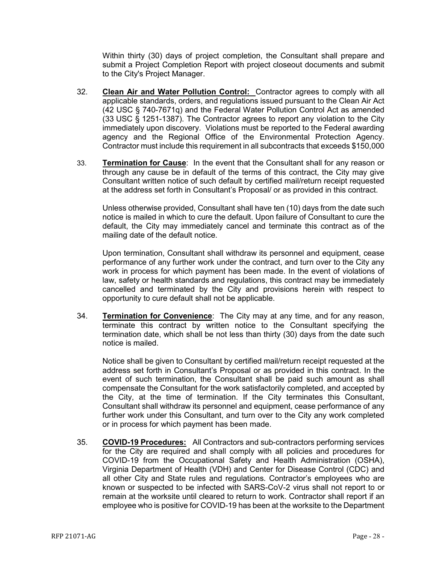Within thirty (30) days of project completion, the Consultant shall prepare and submit a Project Completion Report with project closeout documents and submit to the City's Project Manager.

- 32. **Clean Air and Water Pollution Control:** Contractor agrees to comply with all applicable standards, orders, and regulations issued pursuant to the Clean Air Act (42 USC § 740-7671q) and the Federal Water Pollution Control Act as amended (33 USC § 1251-1387). The Contractor agrees to report any violation to the City immediately upon discovery. Violations must be reported to the Federal awarding agency and the Regional Office of the Environmental Protection Agency. Contractor must include this requirement in all subcontracts that exceeds \$150,000
- 33. **Termination for Cause**: In the event that the Consultant shall for any reason or through any cause be in default of the terms of this contract, the City may give Consultant written notice of such default by certified mail/return receipt requested at the address set forth in Consultant's Proposal/ or as provided in this contract.

Unless otherwise provided, Consultant shall have ten (10) days from the date such notice is mailed in which to cure the default. Upon failure of Consultant to cure the default, the City may immediately cancel and terminate this contract as of the mailing date of the default notice.

Upon termination, Consultant shall withdraw its personnel and equipment, cease performance of any further work under the contract, and turn over to the City any work in process for which payment has been made. In the event of violations of law, safety or health standards and regulations, this contract may be immediately cancelled and terminated by the City and provisions herein with respect to opportunity to cure default shall not be applicable.

34. **Termination for Convenience**: The City may at any time, and for any reason, terminate this contract by written notice to the Consultant specifying the termination date, which shall be not less than thirty (30) days from the date such notice is mailed.

Notice shall be given to Consultant by certified mail/return receipt requested at the address set forth in Consultant's Proposal or as provided in this contract. In the event of such termination, the Consultant shall be paid such amount as shall compensate the Consultant for the work satisfactorily completed, and accepted by the City, at the time of termination. If the City terminates this Consultant, Consultant shall withdraw its personnel and equipment, cease performance of any further work under this Consultant, and turn over to the City any work completed or in process for which payment has been made.

35. **COVID-19 Procedures:** All Contractors and sub-contractors performing services for the City are required and shall comply with all policies and procedures for COVID-19 from the Occupational Safety and Health Administration (OSHA), Virginia Department of Health (VDH) and Center for Disease Control (CDC) and all other City and State rules and regulations. Contractor's employees who are known or suspected to be infected with SARS-CoV-2 virus shall not report to or remain at the worksite until cleared to return to work. Contractor shall report if an employee who is positive for COVID-19 has been at the worksite to the Department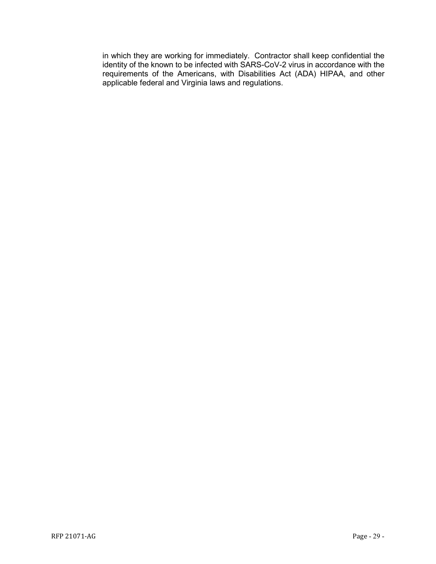in which they are working for immediately. Contractor shall keep confidential the identity of the known to be infected with SARS-CoV-2 virus in accordance with the requirements of the Americans, with Disabilities Act (ADA) HIPAA, and other applicable federal and Virginia laws and regulations.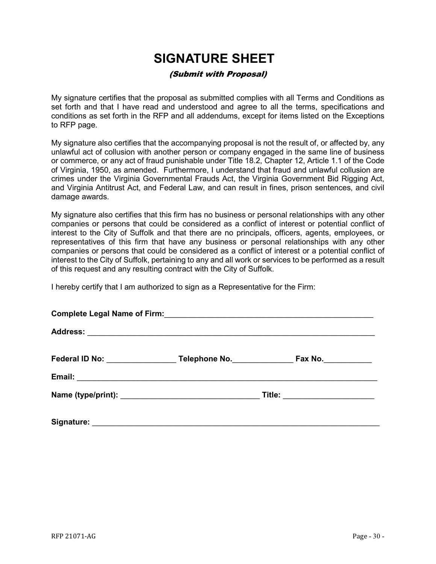## **SIGNATURE SHEET**

## (Submit with Proposal)

<span id="page-29-0"></span>My signature certifies that the proposal as submitted complies with all Terms and Conditions as set forth and that I have read and understood and agree to all the terms, specifications and conditions as set forth in the RFP and all addendums, except for items listed on the Exceptions to RFP page.

My signature also certifies that the accompanying proposal is not the result of, or affected by, any unlawful act of collusion with another person or company engaged in the same line of business or commerce, or any act of fraud punishable under Title 18.2, Chapter 12, Article 1.1 of the Code of Virginia, 1950, as amended. Furthermore, I understand that fraud and unlawful collusion are crimes under the Virginia Governmental Frauds Act, the Virginia Government Bid Rigging Act, and Virginia Antitrust Act, and Federal Law, and can result in fines, prison sentences, and civil damage awards.

My signature also certifies that this firm has no business or personal relationships with any other companies or persons that could be considered as a conflict of interest or potential conflict of interest to the City of Suffolk and that there are no principals, officers, agents, employees, or representatives of this firm that have any business or personal relationships with any other companies or persons that could be considered as a conflict of interest or a potential conflict of interest to the City of Suffolk, pertaining to any and all work or services to be performed as a result of this request and any resulting contract with the City of Suffolk.

I hereby certify that I am authorized to sign as a Representative for the Firm:

|  | Federal ID No: Telephone No. | Fax No.                   |  |  |
|--|------------------------------|---------------------------|--|--|
|  |                              |                           |  |  |
|  |                              | Title: __________________ |  |  |
|  |                              |                           |  |  |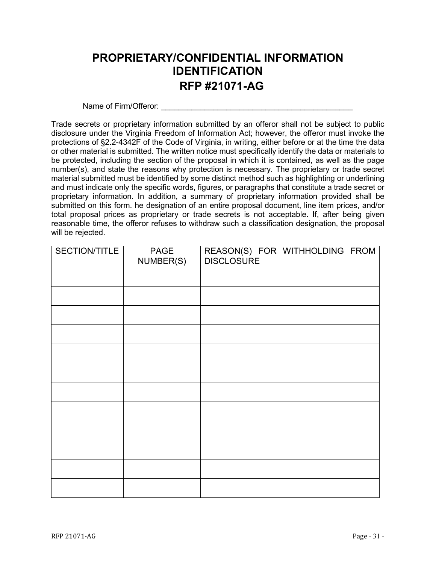## <span id="page-30-0"></span>**PROPRIETARY/CONFIDENTIAL INFORMATION IDENTIFICATION RFP #21071-AG**

Name of Firm/Offeror:

Trade secrets or proprietary information submitted by an offeror shall not be subject to public disclosure under the Virginia Freedom of Information Act; however, the offeror must invoke the protections of §2.2-4342F of the Code of Virginia, in writing, either before or at the time the data or other material is submitted. The written notice must specifically identify the data or materials to be protected, including the section of the proposal in which it is contained, as well as the page number(s), and state the reasons why protection is necessary. The proprietary or trade secret material submitted must be identified by some distinct method such as highlighting or underlining and must indicate only the specific words, figures, or paragraphs that constitute a trade secret or proprietary information. In addition, a summary of proprietary information provided shall be submitted on this form. he designation of an entire proposal document, line item prices, and/or total proposal prices as proprietary or trade secrets is not acceptable. If, after being given reasonable time, the offeror refuses to withdraw such a classification designation, the proposal will be rejected.

| SECTION/TITLE | PAGE<br>NUMBER(S) | REASON(S) FOR WITHHOLDING FROM<br>DISCLOSURE |
|---------------|-------------------|----------------------------------------------|
|               |                   |                                              |
|               |                   |                                              |
|               |                   |                                              |
|               |                   |                                              |
|               |                   |                                              |
|               |                   |                                              |
|               |                   |                                              |
|               |                   |                                              |
|               |                   |                                              |
|               |                   |                                              |
|               |                   |                                              |
|               |                   |                                              |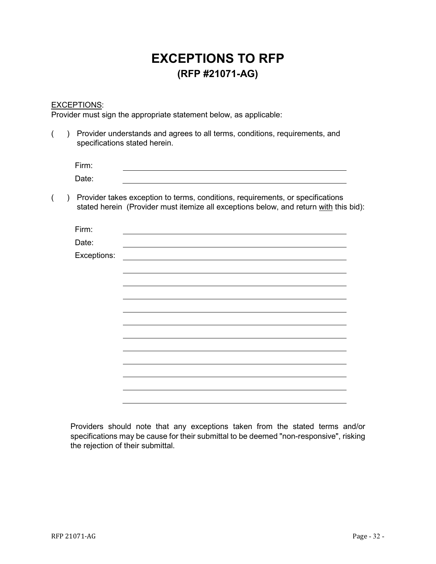## **EXCEPTIONS TO RFP (RFP #21071-AG)**

## <span id="page-31-0"></span>EXCEPTIONS:

Provider must sign the appropriate statement below, as applicable:

| Provider understands and agrees to all terms, conditions, requirements, and<br>specifications stated herein. |             |                                                                                                                                                                         |  |
|--------------------------------------------------------------------------------------------------------------|-------------|-------------------------------------------------------------------------------------------------------------------------------------------------------------------------|--|
|                                                                                                              | Firm:       |                                                                                                                                                                         |  |
|                                                                                                              | Date:       |                                                                                                                                                                         |  |
|                                                                                                              |             | Provider takes exception to terms, conditions, requirements, or specifications<br>stated herein (Provider must itemize all exceptions below, and return with this bid): |  |
|                                                                                                              | Firm:       |                                                                                                                                                                         |  |
|                                                                                                              | Date:       |                                                                                                                                                                         |  |
|                                                                                                              | Exceptions: |                                                                                                                                                                         |  |
|                                                                                                              |             |                                                                                                                                                                         |  |
|                                                                                                              |             |                                                                                                                                                                         |  |
|                                                                                                              |             |                                                                                                                                                                         |  |
|                                                                                                              |             |                                                                                                                                                                         |  |
|                                                                                                              |             |                                                                                                                                                                         |  |
|                                                                                                              |             |                                                                                                                                                                         |  |
|                                                                                                              |             |                                                                                                                                                                         |  |
|                                                                                                              |             |                                                                                                                                                                         |  |
|                                                                                                              |             |                                                                                                                                                                         |  |
|                                                                                                              |             |                                                                                                                                                                         |  |

Providers should note that any exceptions taken from the stated terms and/or specifications may be cause for their submittal to be deemed "non-responsive", risking the rejection of their submittal.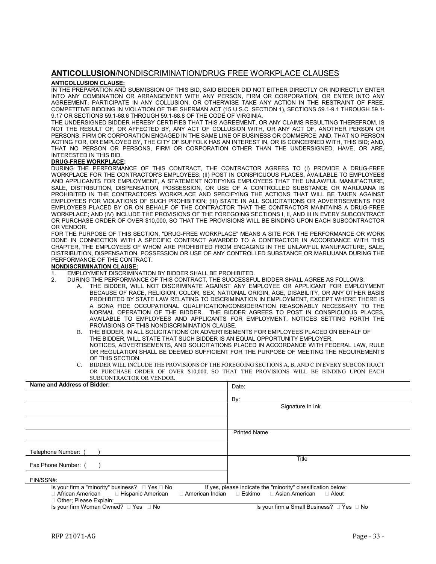#### <span id="page-32-0"></span>**ANTICOLLUSION**/NONDISCRIMINATION/DRUG FREE WORKPLACE CLAUSES

#### **ANTICOLLUSION CLAUSE:**

IN THE PREPARATION AND SUBMISSION OF THIS BID, SAID BIDDER DID NOT EITHER DIRECTLY OR INDIRECTLY ENTER INTO ANY COMBINATION OR ARRANGEMENT WITH ANY PERSON, FIRM OR CORPORATION, OR ENTER INTO ANY AGREEMENT, PARTICIPATE IN ANY COLLUSION, OR OTHERWISE TAKE ANY ACTION IN THE RESTRAINT OF FREE, COMPETITIVE BIDDING IN VIOLATION OF THE SHERMAN ACT (15 U.S.C. SECTION 1), SECTIONS 59.1-9.1 THROUGH 59.1- 9.17 OR SECTIONS 59.1-68.6 THROUGH 59.1-68.8 OF THE CODE OF VIRGINIA.

THE UNDERSIGNED BIDDER HEREBY CERTIFIES THAT THIS AGREEMENT, OR ANY CLAIMS RESULTING THEREFROM, IS NOT THE RESULT OF, OR AFFECTED BY, ANY ACT OF COLLUSION WITH, OR ANY ACT OF, ANOTHER PERSON OR PERSONS, FIRM OR CORPORATION ENGAGED IN THE SAME LINE OF BUSINESS OR COMMERCE; AND, THAT NO PERSON ACTING FOR, OR EMPLOYED BY, THE CITY OF SUFFOLK HAS AN INTEREST IN, OR IS CONCERNED WITH, THIS BID; AND, THAT NO PERSON OR PERSONS, FIRM OR CORPORATION OTHER THAN THE UNDERSIGNED, HAVE, OR ARE, INTERESTED IN THIS BID.

#### **DRUG-FREE WORKPLACE:**

DURING THE PERFORMANCE OF THIS CONTRACT, THE CONTRACTOR AGREES TO (I) PROVIDE A DRUG-FREE WORKPLACE FOR THE CONTRACTOR'S EMPLOYEES; (II) POST IN CONSPICUOUS PLACES, AVAILABLE TO EMPLOYEES AND APPLICANTS FOR EMPLOYMENT, A STATEMENT NOTIFYING EMPLOYEES THAT THE UNLAWFUL MANUFACTURE, SALE, DISTRIBUTION, DISPENSATION, POSSESSION, OR USE OF A CONTROLLED SUBSTANCE OR MARIJUANA IS PROHIBITED IN THE CONTRACTOR'S WORKPLACE AND SPECIFYING THE ACTIONS THAT WILL BE TAKEN AGAINST EMPLOYEES FOR VIOLATIONS OF SUCH PROHIBITION; (III) STATE IN ALL SOLICITATIONS OR ADVERTISEMENTS FOR EMPLOYEES PLACED BY OR ON BEHALF OF THE CONTRACTOR THAT THE CONTRACTOR MAINTAINS A DRUG-FREE WORKPLACE; AND (IV) INCLUDE THE PROVISIONS OF THE FOREGOING SECTIONS I, II, AND III IN EVERY SUBCONTRACT OR PURCHASE ORDER OF OVER \$10,000, SO THAT THE PROVISIONS WILL BE BINDING UPON EACH SUBCONTRACTOR OR VENDOR.

FOR THE PURPOSE OF THIS SECTION, "DRUG-FREE WORKPLACE" MEANS A SITE FOR THE PERFORMANCE OR WORK DONE IN CONNECTION WITH A SPECIFIC CONTRACT AWARDED TO A CONTRACTOR IN ACCORDANCE WITH THIS CHAPTER, THE EMPLOYEES OF WHOM ARE PROHIBITED FROM ENGAGING IN THE UNLAWFUL MANUFACTURE, SALE, DISTRIBUTION, DISPENSATION, POSSESSION OR USE OF ANY CONTROLLED SUBSTANCE OR MARIJUANA DURING THE PERFORMANCE OF THE CONTRACT.

#### **NONDISCRIMINATION CLAUSE:**

- 1. EMPLOYMENT DISCRIMINATION BY BIDDER SHALL BE PROHIBITED.
- 2. DURING THE PERFORMANCE OF THIS CONTRACT, THE SUCCESSFUL BIDDER SHALL AGREE AS FOLLOWS:
	- A. THE BIDDER, WILL NOT DISCRIMINATE AGAINST ANY EMPLOYEE OR APPLICANT FOR EMPLOYMENT BECAUSE OF RACE, RELIGION, COLOR, SEX, NATIONAL ORIGIN, AGE, DISABILITY, OR ANY OTHER BASIS PROHIBITED BY STATE LAW RELATING TO DISCRIMINATION IN EMPLOYMENT, EXCEPT WHERE THERE IS A BONA FIDE\_OCCUPATIONAL QUALIFICATION/CONSIDERATION REASONABLY NECESSARY TO THE NORMAL OPERATION OF THE BIDDER. THE BIDDER AGREES TO POST IN CONSPICUOUS PLACES, AVAILABLE TO EMPLOYEES AND APPLICANTS FOR EMPLOYMENT, NOTICES SETTING FORTH THE PROVISIONS OF THIS NONDISCRIMINATION CLAUSE.
	- B. THE BIDDER, IN ALL SOLICITATIONS OR ADVERTISEMENTS FOR EMPLOYEES PLACED ON BEHALF OF THE BIDDER, WILL STATE THAT SUCH BIDDER IS AN EQUAL OPPORTUNITY EMPLOYER. NOTICES, ADVERTISEMENTS, AND SOLICITATIONS PLACED IN ACCORDANCE WITH FEDERAL LAW, RULE OR REGULATION SHALL BE DEEMED SUFFICIENT FOR THE PURPOSE OF MEETING THE REQUIREMENTS OF THIS SECTION.
	- C. BIDDER WILL INCLUDE THE PROVISIONS OF THE FOREGOING SECTIONS A, B, AND C IN EVERY SUBCONTRACT OR PURCHASE ORDER OF OVER \$10,000, SO THAT THE PROVISIONS WILL BE BINDING UPON EACH SUBCONTRACTOR OR VENDOR.

| Name and Address of Bidder:                                                                                                                                             | Date:               |  |
|-------------------------------------------------------------------------------------------------------------------------------------------------------------------------|---------------------|--|
|                                                                                                                                                                         | By:                 |  |
|                                                                                                                                                                         | Signature In Ink    |  |
|                                                                                                                                                                         |                     |  |
|                                                                                                                                                                         | <b>Printed Name</b> |  |
|                                                                                                                                                                         |                     |  |
| Telephone Number: (                                                                                                                                                     |                     |  |
| Fax Phone Number: (                                                                                                                                                     | Title               |  |
| FIN/SSN#:                                                                                                                                                               |                     |  |
| Is your firm a "minority" business? $\Box$ Yes $\Box$ No<br>If yes, please indicate the "minority" classification below:<br>□ American Indian □ Eskimo □ Asian American |                     |  |
| □ African American<br>□ Hispanic American<br>□ Other; Please Explain:                                                                                                   | $\Box$ Aleut        |  |

Is your firm Woman Owned? □ Yes □ No Is your firm a Small Business? □ Yes □ No